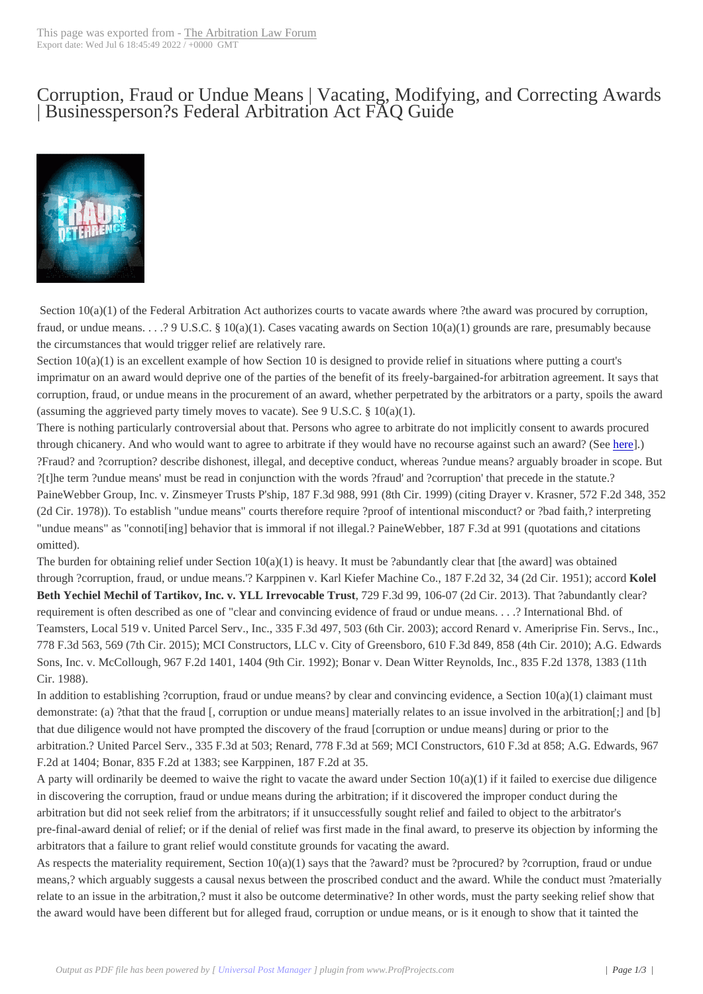## Corruption, Fraud [or Undue Means |](https://loreelawfirm.com/blog/?p=15313) Vacating, Modifying, and Correcting Awards | Businessperson?s Federal Arbitration Act FAQ Guide



Section  $10(a)(1)$  of the Federal Arbitration Act authorizes courts to vacate awards where ?the award was procured by corruption, fraud, or undue means. . . .? 9 U.S.C. § 10(a)(1). Cases vacating awards on Section 10(a)(1) grounds are rare, presumably because the circumstances that would trigger relief are relatively rare.

Section  $10(a)(1)$  is an excellent example of how Section 10 is designed to provide relief in situations where putting a court's imprimatur on an award would deprive one of the parties of the benefit of its freely-bargained-for arbitration agreement. It says that corruption, fraud, or undue means in the procurement of an award, whether perpetrated by the arbitrators or a party, spoils the award (assuming the aggrieved party timely moves to vacate). See 9 U.S.C.  $\S$  10(a)(1).

There is nothing particularly controversial about that. Persons who agree to arbitrate do not implicitly consent to awards procured through chicanery. And who would want to agree to arbitrate if they would have no recourse against such an award? (See here].) ?Fraud? and ?corruption? describe dishonest, illegal, and deceptive conduct, whereas ?undue means? arguably broader in scope. But ?[t]he term ?undue means' must be read in conjunction with the words ?fraud' and ?corruption' that precede in the statute.? PaineWebber Group, Inc. v. Zinsmeyer Trusts P'ship, 187 F.3d 988, 991 (8th Cir. 1999) (citing Drayer v. Krasner, 572 F.2d 348, 352 (2d Cir. 1978)). To establish "undue means" courts therefore require ?proof of intentional misconduct? or ?bad faith,? int[erpret](https://loreelawfirm.com/blog/vacating-modifying-and-correcting-awards-introduction/)ing "undue means" as "connoti[ing] behavior that is immoral if not illegal.? PaineWebber, 187 F.3d at 991 (quotations and citations omitted).

The burden for obtaining relief under Section  $10(a)(1)$  is heavy. It must be ?abundantly clear that [the award] was obtained through ?corruption, fraud, or undue means.'? Karppinen v. Karl Kiefer Machine Co., 187 F.2d 32, 34 (2d Cir. 1951); accord **Kolel Beth Yechiel Mechil of Tartikov, Inc. v. YLL Irrevocable Trust**, 729 F.3d 99, 106-07 (2d Cir. 2013). That ?abundantly clear? requirement is often described as one of "clear and convincing evidence of fraud or undue means. . . .? International Bhd. of Teamsters, Local 519 v. United Parcel Serv., Inc., 335 F.3d 497, 503 (6th Cir. 2003); accord Renard v. Ameriprise Fin. Servs., Inc., 778 F.3d 563, 569 (7th Cir. 2015); MCI Constructors, LLC v. City of Greensboro, 610 F.3d 849, 858 (4th Cir. 2010); A.G. Edwards Sons, Inc. v. McCollough, 967 F.2d 1401, 1404 (9th Cir. 1992); Bonar v. Dean Witter Reynolds, Inc., 835 F.2d 1378, 1383 (11th Cir. 1988).

In addition to establishing ?corruption, fraud or undue means? by clear and convincing evidence, a Section  $10(a)(1)$  claimant must demonstrate: (a) ?that that the fraud [, corruption or undue means] materially relates to an issue involved in the arbitration[;] and [b] that due diligence would not have prompted the discovery of the fraud [corruption or undue means] during or prior to the arbitration.? United Parcel Serv., 335 F.3d at 503; Renard, 778 F.3d at 569; MCI Constructors, 610 F.3d at 858; A.G. Edwards, 967 F.2d at 1404; Bonar, 835 F.2d at 1383; see Karppinen, 187 F.2d at 35.

A party will ordinarily be deemed to waive the right to vacate the award under Section  $10(a)(1)$  if it failed to exercise due diligence in discovering the corruption, fraud or undue means during the arbitration; if it discovered the improper conduct during the arbitration but did not seek relief from the arbitrators; if it unsuccessfully sought relief and failed to object to the arbitrator's pre-final-award denial of relief; or if the denial of relief was first made in the final award, to preserve its objection by informing the arbitrators that a failure to grant relief would constitute grounds for vacating the award.

As respects the materiality requirement, Section  $10(a)(1)$  says that the ?award? must be ?procured? by ?corruption, fraud or undue means,? which arguably suggests a causal nexus between the proscribed conduct and the award. While the conduct must ?materially relate to an issue in the arbitration,? must it also be outcome determinative? In other words, must the party seeking relief show that the award would have been different but for alleged fraud, corruption or undue means, or is it enough to show that it tainted the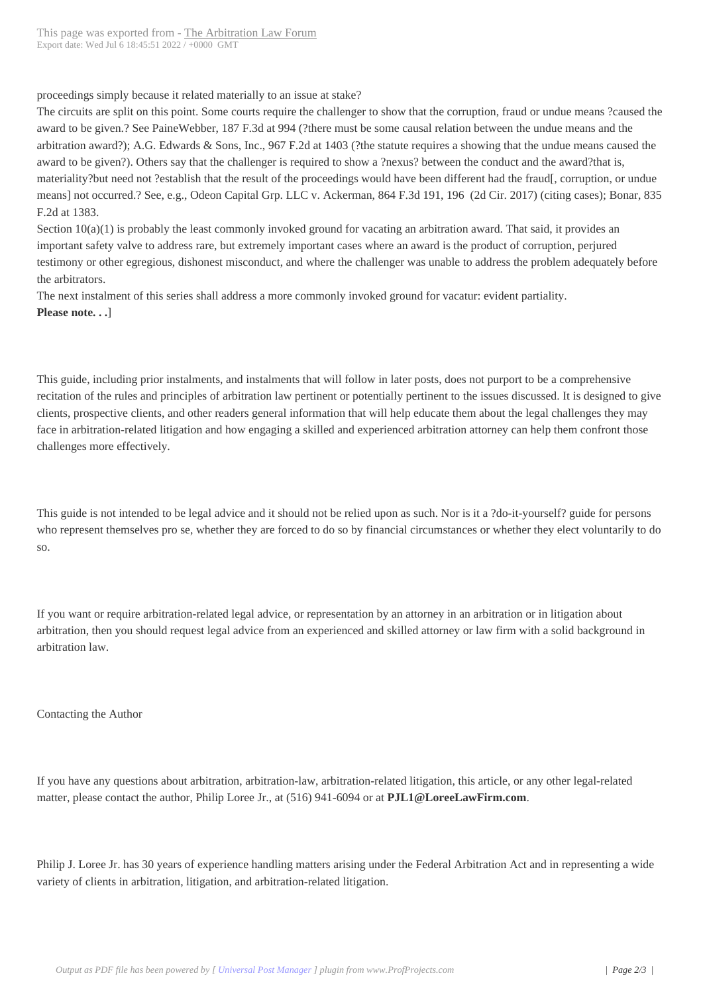proceedings simply because it [related materially to an issue](https://loreelawfirm.com/blog/?p=15313) at stake?

The circuits are split on this point. Some courts require the challenger to show that the corruption, fraud or undue means ?caused the award to be given.? See PaineWebber, 187 F.3d at 994 (?there must be some causal relation between the undue means and the arbitration award?); A.G. Edwards & Sons, Inc., 967 F.2d at 1403 (?the statute requires a showing that the undue means caused the award to be given?). Others say that the challenger is required to show a ?nexus? between the conduct and the award?that is, materiality?but need not ?establish that the result of the proceedings would have been different had the fraud[, corruption, or undue means] not occurred.? See, e.g., Odeon Capital Grp. LLC v. Ackerman, 864 F.3d 191, 196 (2d Cir. 2017) (citing cases); Bonar, 835 F.2d at 1383.

Section  $10(a)(1)$  is probably the least commonly invoked ground for vacating an arbitration award. That said, it provides an important safety valve to address rare, but extremely important cases where an award is the product of corruption, perjured testimony or other egregious, dishonest misconduct, and where the challenger was unable to address the problem adequately before the arbitrators.

The next instalment of this series shall address a more commonly invoked ground for vacatur: evident partiality. **Please note. . .**]

This guide, including prior instalments, and instalments that will follow in later posts, does not purport to be a comprehensive recitation of the rules and principles of arbitration law pertinent or potentially pertinent to the issues discussed. It is designed to give clients, prospective clients, and other readers general information that will help educate them about the legal challenges they may face in arbitration-related litigation and how engaging a skilled and experienced arbitration attorney can help them confront those challenges more effectively.

This guide is not intended to be legal advice and it should not be relied upon as such. Nor is it a ?do-it-yourself? guide for persons who represent themselves pro se, whether they are forced to do so by financial circumstances or whether they elect voluntarily to do so.

If you want or require arbitration-related legal advice, or representation by an attorney in an arbitration or in litigation about arbitration, then you should request legal advice from an experienced and skilled attorney or law firm with a solid background in arbitration law.

Contacting the Author

If you have any questions about arbitration, arbitration-law, arbitration-related litigation, this article, or any other legal-related matter, please contact the author, Philip Loree Jr., at (516) 941-6094 or at **PJL1@LoreeLawFirm.com**.

Philip J. Loree Jr. has 30 years of experience handling matters arising under the Federal Arbitration Act and in representing a wide variety of clients in arbitration, litigation, and arbitration-related litigation.